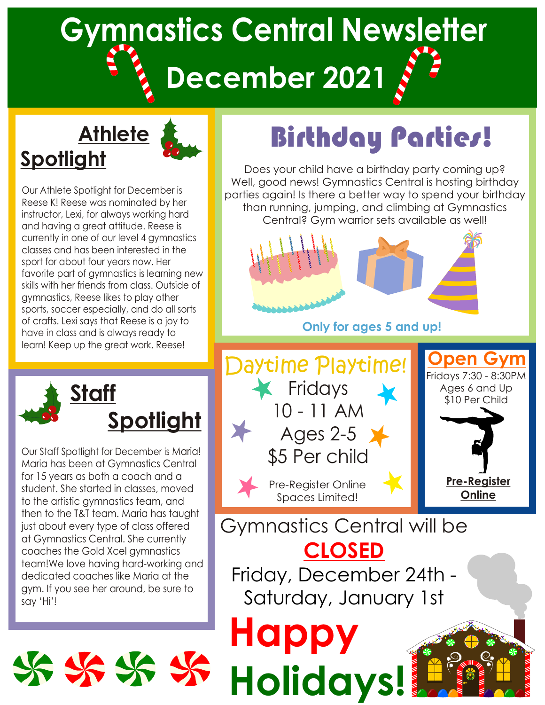# **Gymnastics Central Newsletter December 2021**

#### **Athlete Spotlight**



Our Athlete Spotlight for December is Reese K! Reese was nominated by her instructor, Lexi, for always working hard and having a great attitude. Reese is currently in one of our level 4 gymnastics classes and has been interested in the sport for about four years now. Her favorite part of gymnastics is learning new skills with her friends from class. Outside of gymnastics, Reese likes to play other sports, soccer especially, and do all sorts of crafts. Lexi says that Reese is a joy to have in class and is always ready to learn! Keep up the great work, Reese!



Our Staff Spotlight for December is Maria! Maria has been at Gymnastics Central for 15 years as both a coach and a student. She started in classes, moved to the artistic gymnastics team, and then to the T&T team. Maria has taught just about every type of class offered at Gymnastics Central. She currently coaches the Gold Xcel gymnastics team!We love having hard-working and dedicated coaches like Maria at the gym. If you see her around, be sure to say 'Hi'!

 $26, 26, 26$ 

### Birthday Parties!

Does your child have a birthday party coming up? Well, good news! Gymnastics Central is hosting birthday parties again! Is there a better way to spend your birthday than running, jumping, and climbing at Gymnastics Central? Gym warrior sets available as well!



**Only for ages 5 and up!**



Gymnastics Central will be **CLOSED** Friday, December 24th - Saturday, January 1st

**Happy**

**Holidays!**